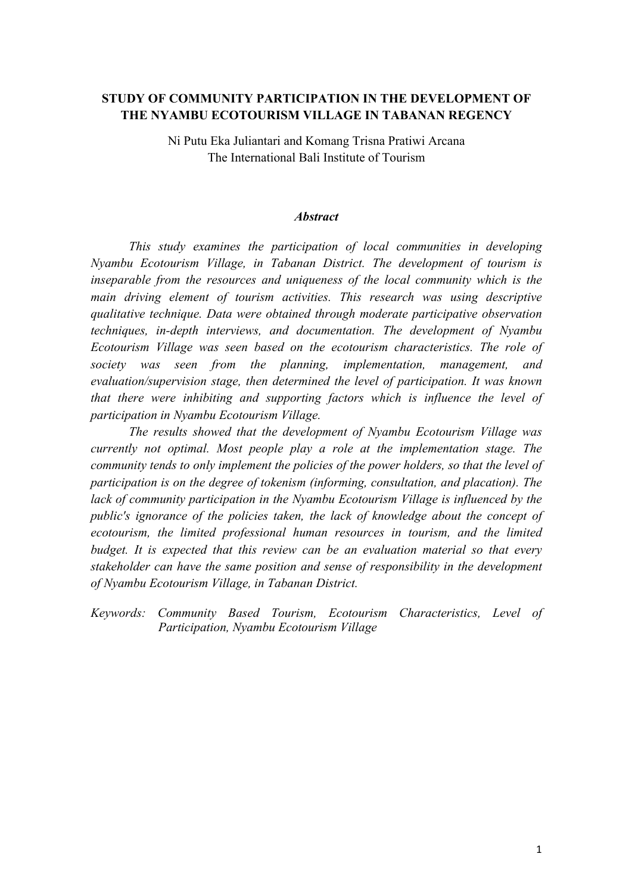# **STUDY OF COMMUNITY PARTICIPATION IN THE DEVELOPMENT OF THE NYAMBU ECOTOURISM VILLAGE IN TABANAN REGENCY**

Ni Putu Eka Juliantari and Komang Trisna Pratiwi Arcana The International Bali Institute of Tourism

#### *Abstract*

*This study examines the participation of local communities in developing Nyambu Ecotourism Village, in Tabanan District. The development of tourism is inseparable from the resources and uniqueness of the local community which is the main driving element of tourism activities. This research was using descriptive qualitative technique. Data were obtained through moderate participative observation techniques, in-depth interviews, and documentation. The development of Nyambu Ecotourism Village was seen based on the ecotourism characteristics. The role of society was seen from the planning, implementation, management, and evaluation/supervision stage, then determined the level of participation. It was known that there were inhibiting and supporting factors which is influence the level of participation in Nyambu Ecotourism Village.*

*The results showed that the development of Nyambu Ecotourism Village was currently not optimal. Most people play a role at the implementation stage. The community tends to only implement the policies of the power holders, so that the level of participation is on the degree of tokenism (informing, consultation, and placation). The lack of community participation in the Nyambu Ecotourism Village is influenced by the public's ignorance of the policies taken, the lack of knowledge about the concept of ecotourism, the limited professional human resources in tourism, and the limited budget. It is expected that this review can be an evaluation material so that every stakeholder can have the same position and sense of responsibility in the development of Nyambu Ecotourism Village, in Tabanan District.*

*Keywords: Community Based Tourism, Ecotourism Characteristics, Level of Participation, Nyambu Ecotourism Village*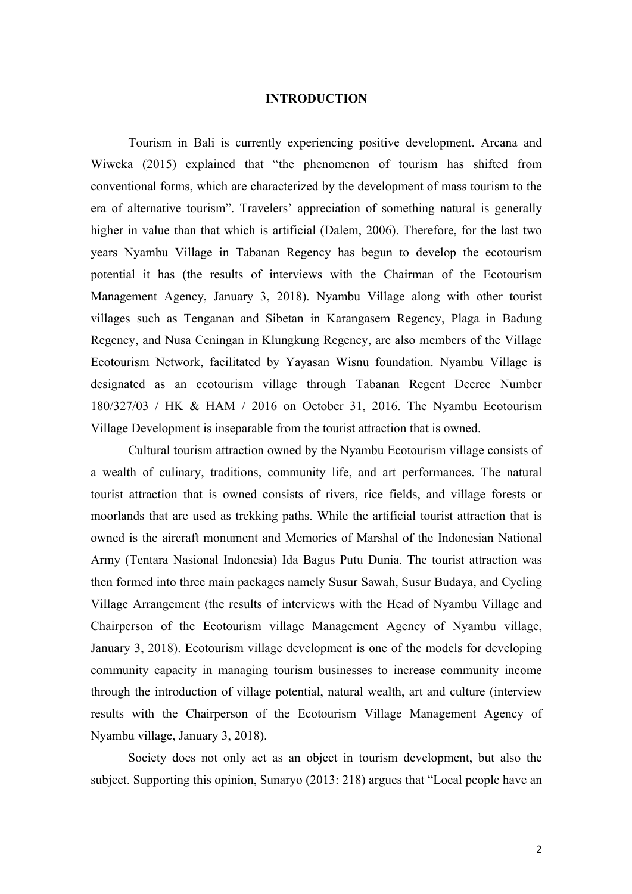## **INTRODUCTION**

Tourism in Bali is currently experiencing positive development. Arcana and Wiweka (2015) explained that "the phenomenon of tourism has shifted from conventional forms, which are characterized by the development of mass tourism to the era of alternative tourism". Travelers' appreciation of something natural is generally higher in value than that which is artificial (Dalem, 2006). Therefore, for the last two years Nyambu Village in Tabanan Regency has begun to develop the ecotourism potential it has (the results of interviews with the Chairman of the Ecotourism Management Agency, January 3, 2018). Nyambu Village along with other tourist villages such as Tenganan and Sibetan in Karangasem Regency, Plaga in Badung Regency, and Nusa Ceningan in Klungkung Regency, are also members of the Village Ecotourism Network, facilitated by Yayasan Wisnu foundation. Nyambu Village is designated as an ecotourism village through Tabanan Regent Decree Number 180/327/03 / HK & HAM / 2016 on October 31, 2016. The Nyambu Ecotourism Village Development is inseparable from the tourist attraction that is owned.

Cultural tourism attraction owned by the Nyambu Ecotourism village consists of a wealth of culinary, traditions, community life, and art performances. The natural tourist attraction that is owned consists of rivers, rice fields, and village forests or moorlands that are used as trekking paths. While the artificial tourist attraction that is owned is the aircraft monument and Memories of Marshal of the Indonesian National Army (Tentara Nasional Indonesia) Ida Bagus Putu Dunia. The tourist attraction was then formed into three main packages namely Susur Sawah, Susur Budaya, and Cycling Village Arrangement (the results of interviews with the Head of Nyambu Village and Chairperson of the Ecotourism village Management Agency of Nyambu village, January 3, 2018). Ecotourism village development is one of the models for developing community capacity in managing tourism businesses to increase community income through the introduction of village potential, natural wealth, art and culture (interview results with the Chairperson of the Ecotourism Village Management Agency of Nyambu village, January 3, 2018).

Society does not only act as an object in tourism development, but also the subject. Supporting this opinion, Sunaryo (2013: 218) argues that "Local people have an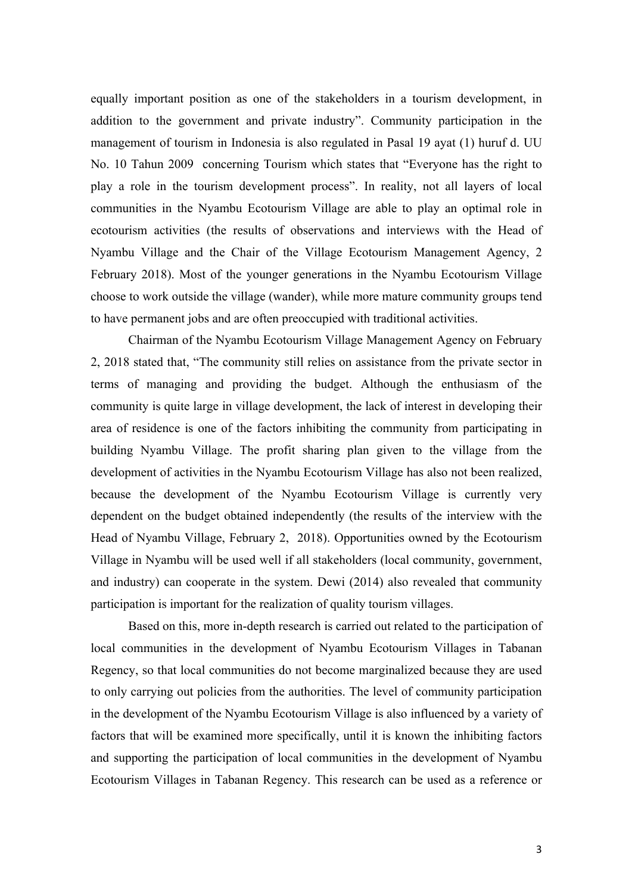equally important position as one of the stakeholders in a tourism development, in addition to the government and private industry". Community participation in the management of tourism in Indonesia is also regulated in Pasal 19 ayat (1) huruf d. UU No. 10 Tahun 2009 concerning Tourism which states that "Everyone has the right to play a role in the tourism development process". In reality, not all layers of local communities in the Nyambu Ecotourism Village are able to play an optimal role in ecotourism activities (the results of observations and interviews with the Head of Nyambu Village and the Chair of the Village Ecotourism Management Agency, 2 February 2018). Most of the younger generations in the Nyambu Ecotourism Village choose to work outside the village (wander), while more mature community groups tend to have permanent jobs and are often preoccupied with traditional activities.

Chairman of the Nyambu Ecotourism Village Management Agency on February 2, 2018 stated that, "The community still relies on assistance from the private sector in terms of managing and providing the budget. Although the enthusiasm of the community is quite large in village development, the lack of interest in developing their area of residence is one of the factors inhibiting the community from participating in building Nyambu Village. The profit sharing plan given to the village from the development of activities in the Nyambu Ecotourism Village has also not been realized, because the development of the Nyambu Ecotourism Village is currently very dependent on the budget obtained independently (the results of the interview with the Head of Nyambu Village, February 2, 2018). Opportunities owned by the Ecotourism Village in Nyambu will be used well if all stakeholders (local community, government, and industry) can cooperate in the system. Dewi (2014) also revealed that community participation is important for the realization of quality tourism villages.

Based on this, more in-depth research is carried out related to the participation of local communities in the development of Nyambu Ecotourism Villages in Tabanan Regency, so that local communities do not become marginalized because they are used to only carrying out policies from the authorities. The level of community participation in the development of the Nyambu Ecotourism Village is also influenced by a variety of factors that will be examined more specifically, until it is known the inhibiting factors and supporting the participation of local communities in the development of Nyambu Ecotourism Villages in Tabanan Regency. This research can be used as a reference or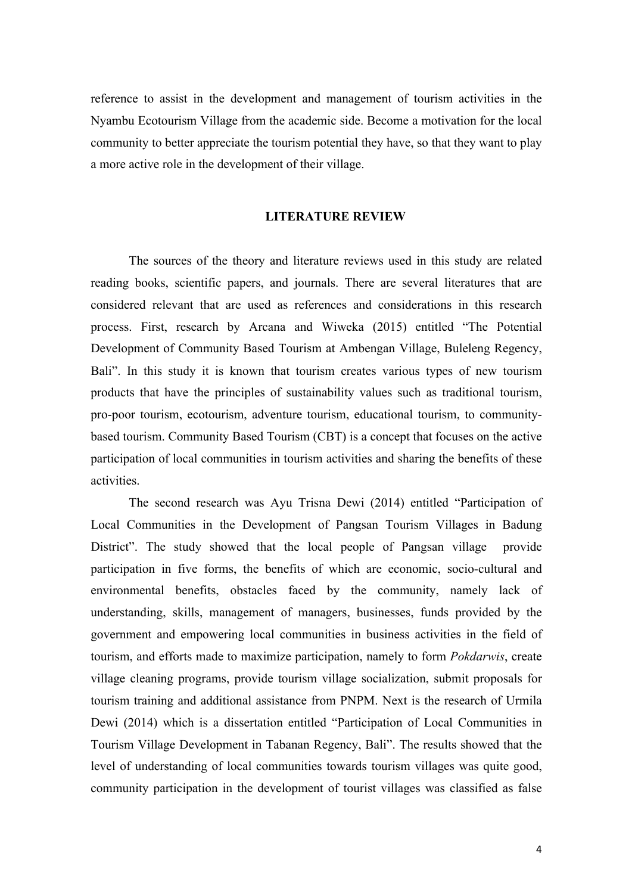reference to assist in the development and management of tourism activities in the Nyambu Ecotourism Village from the academic side. Become a motivation for the local community to better appreciate the tourism potential they have, so that they want to play a more active role in the development of their village.

## **LITERATURE REVIEW**

The sources of the theory and literature reviews used in this study are related reading books, scientific papers, and journals. There are several literatures that are considered relevant that are used as references and considerations in this research process. First, research by Arcana and Wiweka (2015) entitled "The Potential Development of Community Based Tourism at Ambengan Village, Buleleng Regency, Bali". In this study it is known that tourism creates various types of new tourism products that have the principles of sustainability values such as traditional tourism, pro-poor tourism, ecotourism, adventure tourism, educational tourism, to communitybased tourism. Community Based Tourism (CBT) is a concept that focuses on the active participation of local communities in tourism activities and sharing the benefits of these activities.

The second research was Ayu Trisna Dewi (2014) entitled "Participation of Local Communities in the Development of Pangsan Tourism Villages in Badung District". The study showed that the local people of Pangsan village provide participation in five forms, the benefits of which are economic, socio-cultural and environmental benefits, obstacles faced by the community, namely lack of understanding, skills, management of managers, businesses, funds provided by the government and empowering local communities in business activities in the field of tourism, and efforts made to maximize participation, namely to form *Pokdarwis*, create village cleaning programs, provide tourism village socialization, submit proposals for tourism training and additional assistance from PNPM. Next is the research of Urmila Dewi (2014) which is a dissertation entitled "Participation of Local Communities in Tourism Village Development in Tabanan Regency, Bali". The results showed that the level of understanding of local communities towards tourism villages was quite good, community participation in the development of tourist villages was classified as false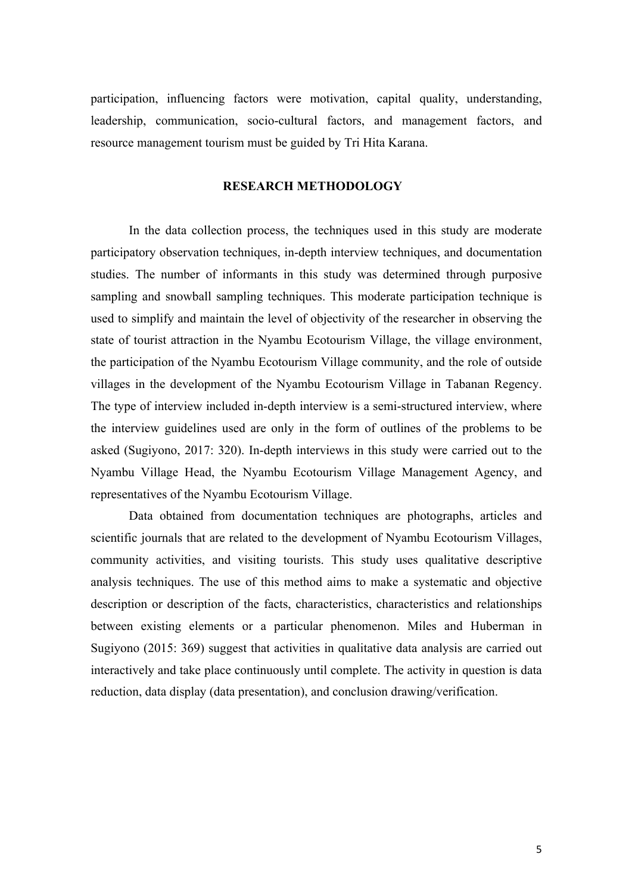participation, influencing factors were motivation, capital quality, understanding, leadership, communication, socio-cultural factors, and management factors, and resource management tourism must be guided by Tri Hita Karana.

## **RESEARCH METHODOLOGY**

In the data collection process, the techniques used in this study are moderate participatory observation techniques, in-depth interview techniques, and documentation studies. The number of informants in this study was determined through purposive sampling and snowball sampling techniques. This moderate participation technique is used to simplify and maintain the level of objectivity of the researcher in observing the state of tourist attraction in the Nyambu Ecotourism Village, the village environment, the participation of the Nyambu Ecotourism Village community, and the role of outside villages in the development of the Nyambu Ecotourism Village in Tabanan Regency. The type of interview included in-depth interview is a semi-structured interview, where the interview guidelines used are only in the form of outlines of the problems to be asked (Sugiyono, 2017: 320). In-depth interviews in this study were carried out to the Nyambu Village Head, the Nyambu Ecotourism Village Management Agency, and representatives of the Nyambu Ecotourism Village.

Data obtained from documentation techniques are photographs, articles and scientific journals that are related to the development of Nyambu Ecotourism Villages, community activities, and visiting tourists. This study uses qualitative descriptive analysis techniques. The use of this method aims to make a systematic and objective description or description of the facts, characteristics, characteristics and relationships between existing elements or a particular phenomenon. Miles and Huberman in Sugiyono (2015: 369) suggest that activities in qualitative data analysis are carried out interactively and take place continuously until complete. The activity in question is data reduction, data display (data presentation), and conclusion drawing/verification.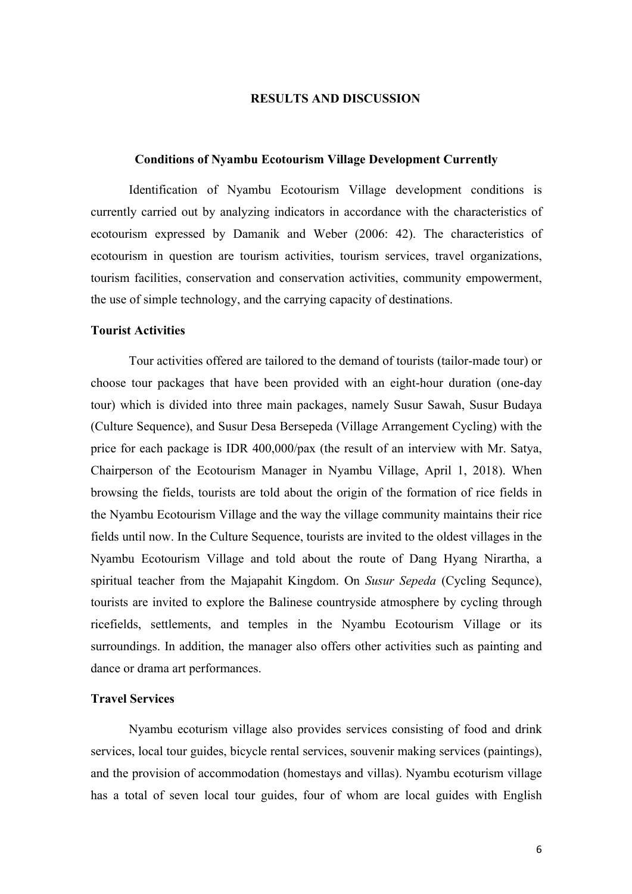## **RESULTS AND DISCUSSION**

#### **Conditions of Nyambu Ecotourism Village Development Currently**

Identification of Nyambu Ecotourism Village development conditions is currently carried out by analyzing indicators in accordance with the characteristics of ecotourism expressed by Damanik and Weber (2006: 42). The characteristics of ecotourism in question are tourism activities, tourism services, travel organizations, tourism facilities, conservation and conservation activities, community empowerment, the use of simple technology, and the carrying capacity of destinations.

#### **Tourist Activities**

Tour activities offered are tailored to the demand of tourists (tailor-made tour) or choose tour packages that have been provided with an eight-hour duration (one-day tour) which is divided into three main packages, namely Susur Sawah, Susur Budaya (Culture Sequence), and Susur Desa Bersepeda (Village Arrangement Cycling) with the price for each package is IDR 400,000/pax (the result of an interview with Mr. Satya, Chairperson of the Ecotourism Manager in Nyambu Village, April 1, 2018). When browsing the fields, tourists are told about the origin of the formation of rice fields in the Nyambu Ecotourism Village and the way the village community maintains their rice fields until now. In the Culture Sequence, tourists are invited to the oldest villages in the Nyambu Ecotourism Village and told about the route of Dang Hyang Nirartha, a spiritual teacher from the Majapahit Kingdom. On *Susur Sepeda* (Cycling Sequnce), tourists are invited to explore the Balinese countryside atmosphere by cycling through ricefields, settlements, and temples in the Nyambu Ecotourism Village or its surroundings. In addition, the manager also offers other activities such as painting and dance or drama art performances.

## **Travel Services**

Nyambu ecoturism village also provides services consisting of food and drink services, local tour guides, bicycle rental services, souvenir making services (paintings), and the provision of accommodation (homestays and villas). Nyambu ecoturism village has a total of seven local tour guides, four of whom are local guides with English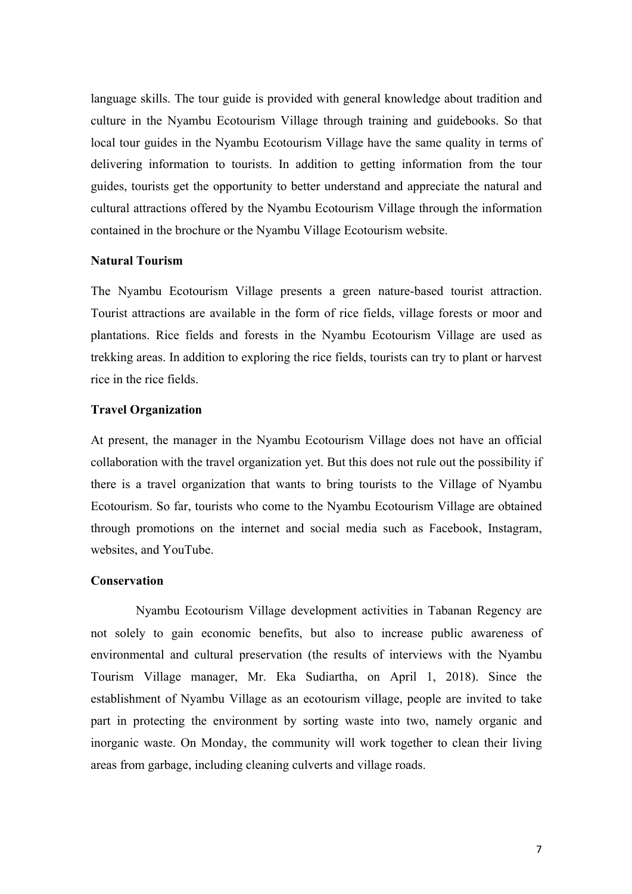language skills. The tour guide is provided with general knowledge about tradition and culture in the Nyambu Ecotourism Village through training and guidebooks. So that local tour guides in the Nyambu Ecotourism Village have the same quality in terms of delivering information to tourists. In addition to getting information from the tour guides, tourists get the opportunity to better understand and appreciate the natural and cultural attractions offered by the Nyambu Ecotourism Village through the information contained in the brochure or the Nyambu Village Ecotourism website.

## **Natural Tourism**

The Nyambu Ecotourism Village presents a green nature-based tourist attraction. Tourist attractions are available in the form of rice fields, village forests or moor and plantations. Rice fields and forests in the Nyambu Ecotourism Village are used as trekking areas. In addition to exploring the rice fields, tourists can try to plant or harvest rice in the rice fields.

## **Travel Organization**

At present, the manager in the Nyambu Ecotourism Village does not have an official collaboration with the travel organization yet. But this does not rule out the possibility if there is a travel organization that wants to bring tourists to the Village of Nyambu Ecotourism. So far, tourists who come to the Nyambu Ecotourism Village are obtained through promotions on the internet and social media such as Facebook, Instagram, websites, and YouTube.

#### **Conservation**

Nyambu Ecotourism Village development activities in Tabanan Regency are not solely to gain economic benefits, but also to increase public awareness of environmental and cultural preservation (the results of interviews with the Nyambu Tourism Village manager, Mr. Eka Sudiartha, on April 1, 2018). Since the establishment of Nyambu Village as an ecotourism village, people are invited to take part in protecting the environment by sorting waste into two, namely organic and inorganic waste. On Monday, the community will work together to clean their living areas from garbage, including cleaning culverts and village roads.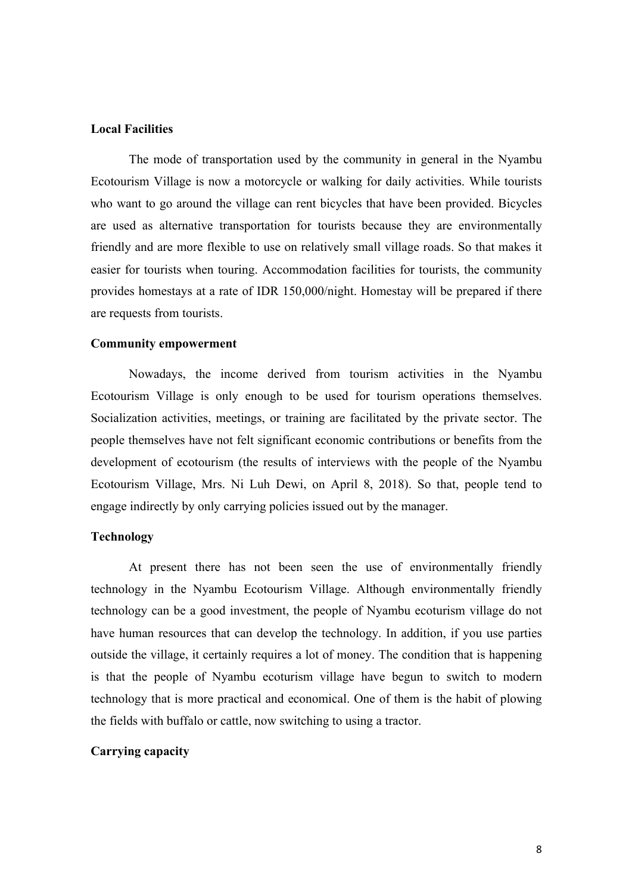#### **Local Facilities**

The mode of transportation used by the community in general in the Nyambu Ecotourism Village is now a motorcycle or walking for daily activities. While tourists who want to go around the village can rent bicycles that have been provided. Bicycles are used as alternative transportation for tourists because they are environmentally friendly and are more flexible to use on relatively small village roads. So that makes it easier for tourists when touring. Accommodation facilities for tourists, the community provides homestays at a rate of IDR 150,000/night. Homestay will be prepared if there are requests from tourists.

#### **Community empowerment**

Nowadays, the income derived from tourism activities in the Nyambu Ecotourism Village is only enough to be used for tourism operations themselves. Socialization activities, meetings, or training are facilitated by the private sector. The people themselves have not felt significant economic contributions or benefits from the development of ecotourism (the results of interviews with the people of the Nyambu Ecotourism Village, Mrs. Ni Luh Dewi, on April 8, 2018). So that, people tend to engage indirectly by only carrying policies issued out by the manager.

### **Technology**

At present there has not been seen the use of environmentally friendly technology in the Nyambu Ecotourism Village. Although environmentally friendly technology can be a good investment, the people of Nyambu ecoturism village do not have human resources that can develop the technology. In addition, if you use parties outside the village, it certainly requires a lot of money. The condition that is happening is that the people of Nyambu ecoturism village have begun to switch to modern technology that is more practical and economical. One of them is the habit of plowing the fields with buffalo or cattle, now switching to using a tractor.

## **Carrying capacity**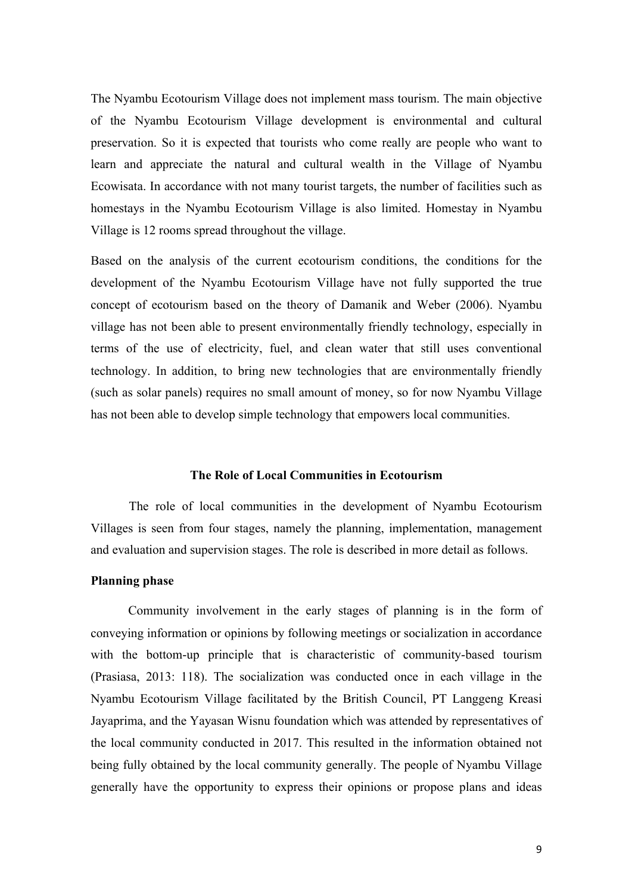The Nyambu Ecotourism Village does not implement mass tourism. The main objective of the Nyambu Ecotourism Village development is environmental and cultural preservation. So it is expected that tourists who come really are people who want to learn and appreciate the natural and cultural wealth in the Village of Nyambu Ecowisata. In accordance with not many tourist targets, the number of facilities such as homestays in the Nyambu Ecotourism Village is also limited. Homestay in Nyambu Village is 12 rooms spread throughout the village.

Based on the analysis of the current ecotourism conditions, the conditions for the development of the Nyambu Ecotourism Village have not fully supported the true concept of ecotourism based on the theory of Damanik and Weber (2006). Nyambu village has not been able to present environmentally friendly technology, especially in terms of the use of electricity, fuel, and clean water that still uses conventional technology. In addition, to bring new technologies that are environmentally friendly (such as solar panels) requires no small amount of money, so for now Nyambu Village has not been able to develop simple technology that empowers local communities.

#### **The Role of Local Communities in Ecotourism**

The role of local communities in the development of Nyambu Ecotourism Villages is seen from four stages, namely the planning, implementation, management and evaluation and supervision stages. The role is described in more detail as follows.

## **Planning phase**

Community involvement in the early stages of planning is in the form of conveying information or opinions by following meetings or socialization in accordance with the bottom-up principle that is characteristic of community-based tourism (Prasiasa, 2013: 118). The socialization was conducted once in each village in the Nyambu Ecotourism Village facilitated by the British Council, PT Langgeng Kreasi Jayaprima, and the Yayasan Wisnu foundation which was attended by representatives of the local community conducted in 2017. This resulted in the information obtained not being fully obtained by the local community generally. The people of Nyambu Village generally have the opportunity to express their opinions or propose plans and ideas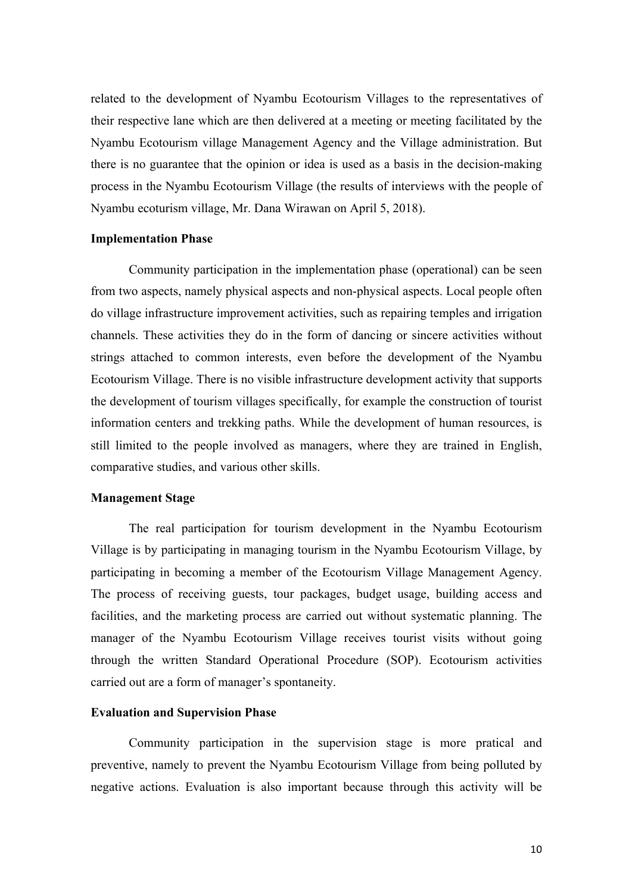related to the development of Nyambu Ecotourism Villages to the representatives of their respective lane which are then delivered at a meeting or meeting facilitated by the Nyambu Ecotourism village Management Agency and the Village administration. But there is no guarantee that the opinion or idea is used as a basis in the decision-making process in the Nyambu Ecotourism Village (the results of interviews with the people of Nyambu ecoturism village, Mr. Dana Wirawan on April 5, 2018).

#### **Implementation Phase**

Community participation in the implementation phase (operational) can be seen from two aspects, namely physical aspects and non-physical aspects. Local people often do village infrastructure improvement activities, such as repairing temples and irrigation channels. These activities they do in the form of dancing or sincere activities without strings attached to common interests, even before the development of the Nyambu Ecotourism Village. There is no visible infrastructure development activity that supports the development of tourism villages specifically, for example the construction of tourist information centers and trekking paths. While the development of human resources, is still limited to the people involved as managers, where they are trained in English, comparative studies, and various other skills.

## **Management Stage**

The real participation for tourism development in the Nyambu Ecotourism Village is by participating in managing tourism in the Nyambu Ecotourism Village, by participating in becoming a member of the Ecotourism Village Management Agency. The process of receiving guests, tour packages, budget usage, building access and facilities, and the marketing process are carried out without systematic planning. The manager of the Nyambu Ecotourism Village receives tourist visits without going through the written Standard Operational Procedure (SOP). Ecotourism activities carried out are a form of manager's spontaneity.

## **Evaluation and Supervision Phase**

Community participation in the supervision stage is more pratical and preventive, namely to prevent the Nyambu Ecotourism Village from being polluted by negative actions. Evaluation is also important because through this activity will be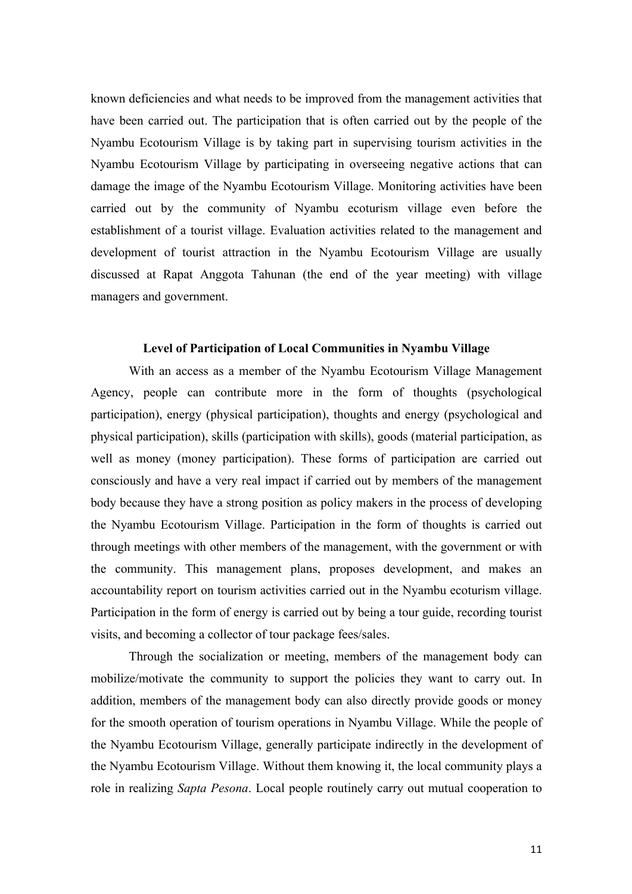known deficiencies and what needs to be improved from the management activities that have been carried out. The participation that is often carried out by the people of the Nyambu Ecotourism Village is by taking part in supervising tourism activities in the Nyambu Ecotourism Village by participating in overseeing negative actions that can damage the image of the Nyambu Ecotourism Village. Monitoring activities have been carried out by the community of Nyambu ecoturism village even before the establishment of a tourist village. Evaluation activities related to the management and development of tourist attraction in the Nyambu Ecotourism Village are usually discussed at Rapat Anggota Tahunan (the end of the year meeting) with village managers and government.

### **Level of Participation of Local Communities in Nyambu Village**

With an access as a member of the Nyambu Ecotourism Village Management Agency, people can contribute more in the form of thoughts (psychological participation), energy (physical participation), thoughts and energy (psychological and physical participation), skills (participation with skills), goods (material participation, as well as money (money participation). These forms of participation are carried out consciously and have a very real impact if carried out by members of the management body because they have a strong position as policy makers in the process of developing the Nyambu Ecotourism Village. Participation in the form of thoughts is carried out through meetings with other members of the management, with the government or with the community. This management plans, proposes development, and makes an accountability report on tourism activities carried out in the Nyambu ecoturism village. Participation in the form of energy is carried out by being a tour guide, recording tourist visits, and becoming a collector of tour package fees/sales.

Through the socialization or meeting, members of the management body can mobilize/motivate the community to support the policies they want to carry out. In addition, members of the management body can also directly provide goods or money for the smooth operation of tourism operations in Nyambu Village. While the people of the Nyambu Ecotourism Village, generally participate indirectly in the development of the Nyambu Ecotourism Village. Without them knowing it, the local community plays a role in realizing *Sapta Pesona*. Local people routinely carry out mutual cooperation to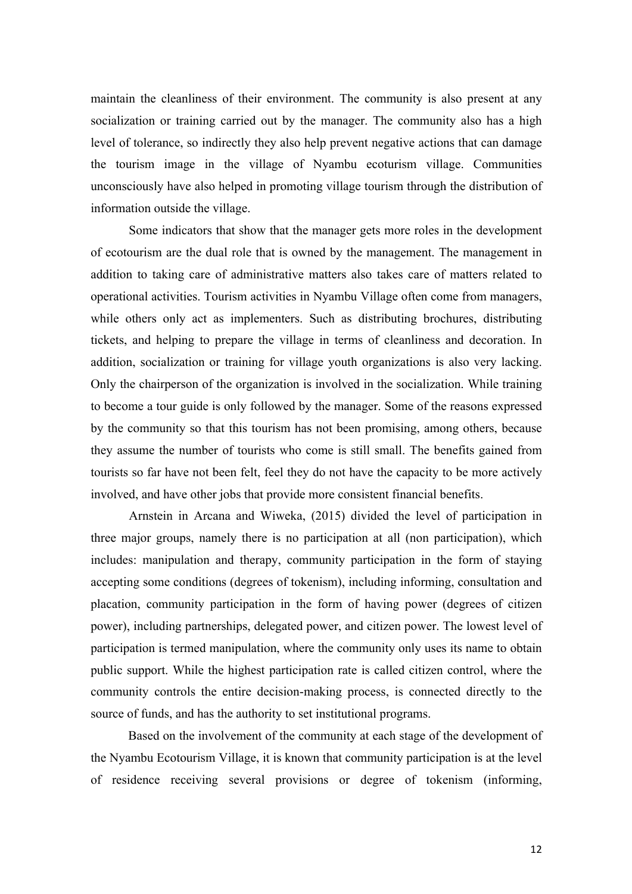maintain the cleanliness of their environment. The community is also present at any socialization or training carried out by the manager. The community also has a high level of tolerance, so indirectly they also help prevent negative actions that can damage the tourism image in the village of Nyambu ecoturism village. Communities unconsciously have also helped in promoting village tourism through the distribution of information outside the village.

Some indicators that show that the manager gets more roles in the development of ecotourism are the dual role that is owned by the management. The management in addition to taking care of administrative matters also takes care of matters related to operational activities. Tourism activities in Nyambu Village often come from managers, while others only act as implementers. Such as distributing brochures, distributing tickets, and helping to prepare the village in terms of cleanliness and decoration. In addition, socialization or training for village youth organizations is also very lacking. Only the chairperson of the organization is involved in the socialization. While training to become a tour guide is only followed by the manager. Some of the reasons expressed by the community so that this tourism has not been promising, among others, because they assume the number of tourists who come is still small. The benefits gained from tourists so far have not been felt, feel they do not have the capacity to be more actively involved, and have other jobs that provide more consistent financial benefits.

Arnstein in Arcana and Wiweka, (2015) divided the level of participation in three major groups, namely there is no participation at all (non participation), which includes: manipulation and therapy, community participation in the form of staying accepting some conditions (degrees of tokenism), including informing, consultation and placation, community participation in the form of having power (degrees of citizen power), including partnerships, delegated power, and citizen power. The lowest level of participation is termed manipulation, where the community only uses its name to obtain public support. While the highest participation rate is called citizen control, where the community controls the entire decision-making process, is connected directly to the source of funds, and has the authority to set institutional programs.

Based on the involvement of the community at each stage of the development of the Nyambu Ecotourism Village, it is known that community participation is at the level of residence receiving several provisions or degree of tokenism (informing,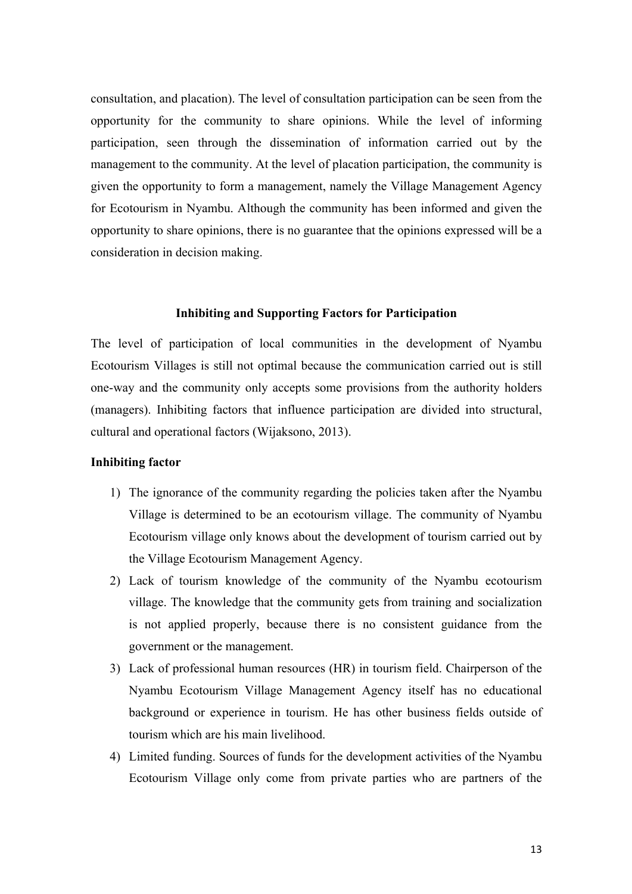consultation, and placation). The level of consultation participation can be seen from the opportunity for the community to share opinions. While the level of informing participation, seen through the dissemination of information carried out by the management to the community. At the level of placation participation, the community is given the opportunity to form a management, namely the Village Management Agency for Ecotourism in Nyambu. Although the community has been informed and given the opportunity to share opinions, there is no guarantee that the opinions expressed will be a consideration in decision making.

#### **Inhibiting and Supporting Factors for Participation**

The level of participation of local communities in the development of Nyambu Ecotourism Villages is still not optimal because the communication carried out is still one-way and the community only accepts some provisions from the authority holders (managers). Inhibiting factors that influence participation are divided into structural, cultural and operational factors (Wijaksono, 2013).

#### **Inhibiting factor**

- 1) The ignorance of the community regarding the policies taken after the Nyambu Village is determined to be an ecotourism village. The community of Nyambu Ecotourism village only knows about the development of tourism carried out by the Village Ecotourism Management Agency.
- 2) Lack of tourism knowledge of the community of the Nyambu ecotourism village. The knowledge that the community gets from training and socialization is not applied properly, because there is no consistent guidance from the government or the management.
- 3) Lack of professional human resources (HR) in tourism field. Chairperson of the Nyambu Ecotourism Village Management Agency itself has no educational background or experience in tourism. He has other business fields outside of tourism which are his main livelihood.
- 4) Limited funding. Sources of funds for the development activities of the Nyambu Ecotourism Village only come from private parties who are partners of the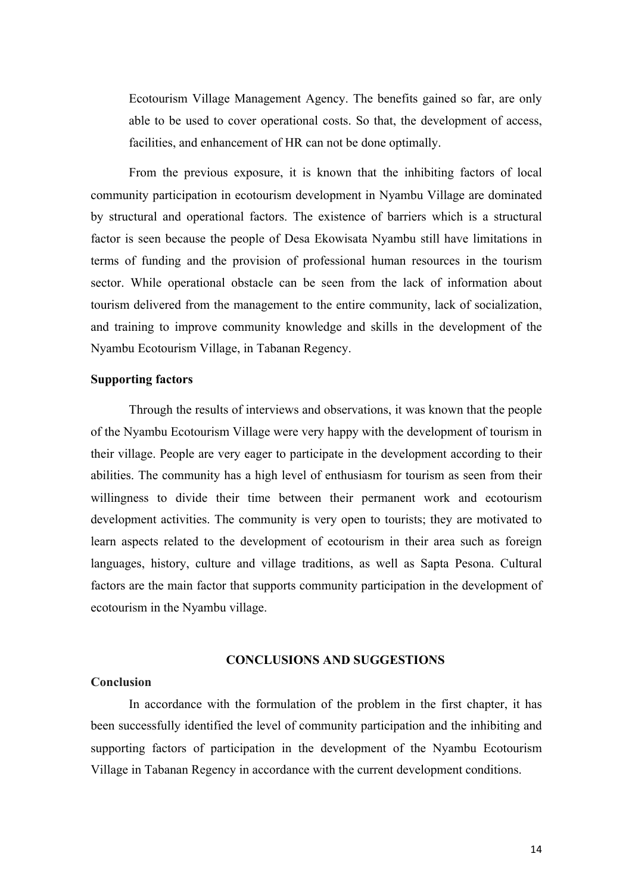Ecotourism Village Management Agency. The benefits gained so far, are only able to be used to cover operational costs. So that, the development of access, facilities, and enhancement of HR can not be done optimally.

From the previous exposure, it is known that the inhibiting factors of local community participation in ecotourism development in Nyambu Village are dominated by structural and operational factors. The existence of barriers which is a structural factor is seen because the people of Desa Ekowisata Nyambu still have limitations in terms of funding and the provision of professional human resources in the tourism sector. While operational obstacle can be seen from the lack of information about tourism delivered from the management to the entire community, lack of socialization, and training to improve community knowledge and skills in the development of the Nyambu Ecotourism Village, in Tabanan Regency.

### **Supporting factors**

Through the results of interviews and observations, it was known that the people of the Nyambu Ecotourism Village were very happy with the development of tourism in their village. People are very eager to participate in the development according to their abilities. The community has a high level of enthusiasm for tourism as seen from their willingness to divide their time between their permanent work and ecotourism development activities. The community is very open to tourists; they are motivated to learn aspects related to the development of ecotourism in their area such as foreign languages, history, culture and village traditions, as well as Sapta Pesona. Cultural factors are the main factor that supports community participation in the development of ecotourism in the Nyambu village.

## **CONCLUSIONS AND SUGGESTIONS**

### **Conclusion**

In accordance with the formulation of the problem in the first chapter, it has been successfully identified the level of community participation and the inhibiting and supporting factors of participation in the development of the Nyambu Ecotourism Village in Tabanan Regency in accordance with the current development conditions.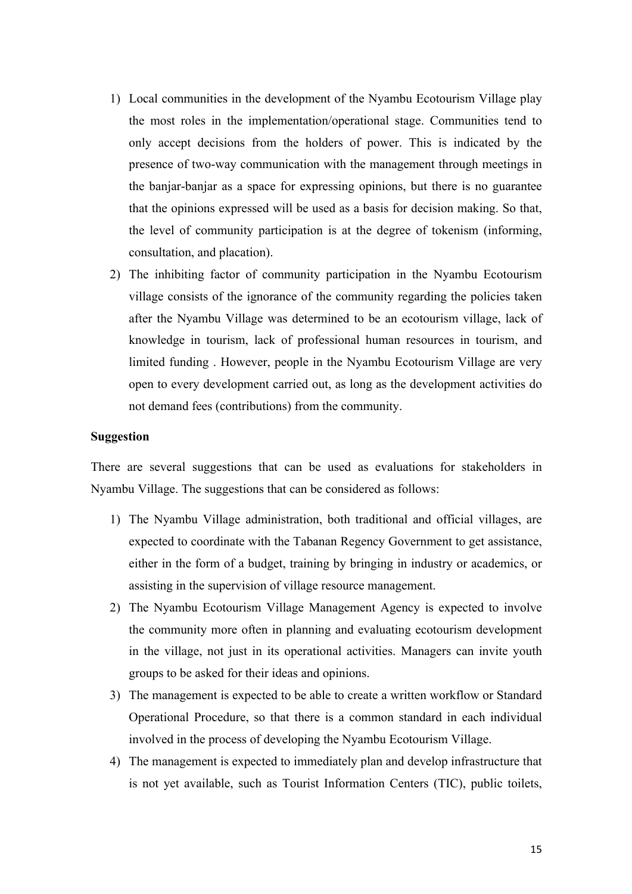- 1) Local communities in the development of the Nyambu Ecotourism Village play the most roles in the implementation/operational stage. Communities tend to only accept decisions from the holders of power. This is indicated by the presence of two-way communication with the management through meetings in the banjar-banjar as a space for expressing opinions, but there is no guarantee that the opinions expressed will be used as a basis for decision making. So that, the level of community participation is at the degree of tokenism (informing, consultation, and placation).
- 2) The inhibiting factor of community participation in the Nyambu Ecotourism village consists of the ignorance of the community regarding the policies taken after the Nyambu Village was determined to be an ecotourism village, lack of knowledge in tourism, lack of professional human resources in tourism, and limited funding . However, people in the Nyambu Ecotourism Village are very open to every development carried out, as long as the development activities do not demand fees (contributions) from the community.

## **Suggestion**

There are several suggestions that can be used as evaluations for stakeholders in Nyambu Village. The suggestions that can be considered as follows:

- 1) The Nyambu Village administration, both traditional and official villages, are expected to coordinate with the Tabanan Regency Government to get assistance, either in the form of a budget, training by bringing in industry or academics, or assisting in the supervision of village resource management.
- 2) The Nyambu Ecotourism Village Management Agency is expected to involve the community more often in planning and evaluating ecotourism development in the village, not just in its operational activities. Managers can invite youth groups to be asked for their ideas and opinions.
- 3) The management is expected to be able to create a written workflow or Standard Operational Procedure, so that there is a common standard in each individual involved in the process of developing the Nyambu Ecotourism Village.
- 4) The management is expected to immediately plan and develop infrastructure that is not yet available, such as Tourist Information Centers (TIC), public toilets,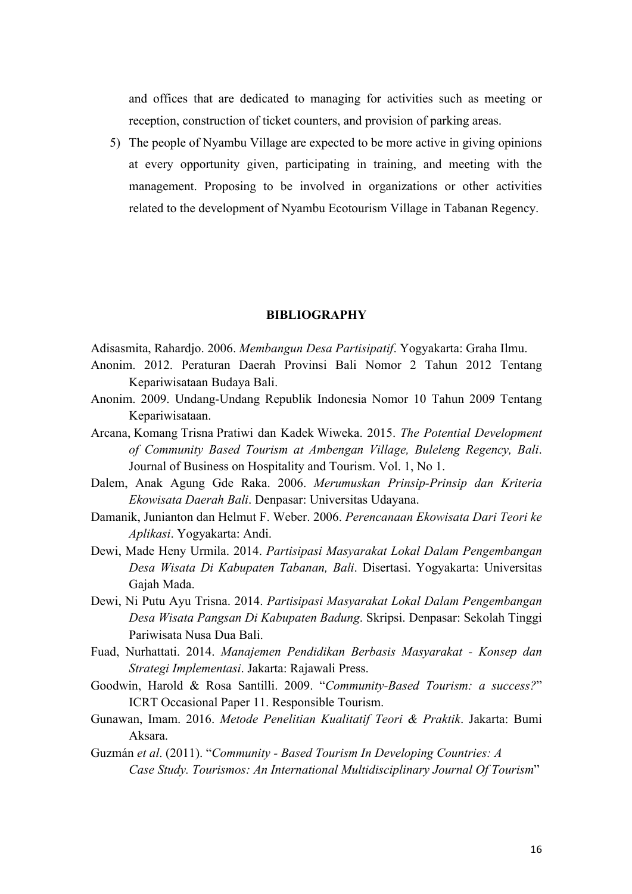and offices that are dedicated to managing for activities such as meeting or reception, construction of ticket counters, and provision of parking areas.

5) The people of Nyambu Village are expected to be more active in giving opinions at every opportunity given, participating in training, and meeting with the management. Proposing to be involved in organizations or other activities related to the development of Nyambu Ecotourism Village in Tabanan Regency.

#### **BIBLIOGRAPHY**

Adisasmita, Rahardjo. 2006. *Membangun Desa Partisipatif*. Yogyakarta: Graha Ilmu.

- Anonim. 2012. Peraturan Daerah Provinsi Bali Nomor 2 Tahun 2012 Tentang Kepariwisataan Budaya Bali.
- Anonim. 2009. Undang-Undang Republik Indonesia Nomor 10 Tahun 2009 Tentang Kepariwisataan.
- Arcana, Komang Trisna Pratiwi dan Kadek Wiweka. 2015. *The Potential Development of Community Based Tourism at Ambengan Village, Buleleng Regency, Bali*. Journal of Business on Hospitality and Tourism. Vol. 1, No 1.
- Dalem, Anak Agung Gde Raka. 2006. *Merumuskan Prinsip-Prinsip dan Kriteria Ekowisata Daerah Bali*. Denpasar: Universitas Udayana.
- Damanik, Junianton dan Helmut F. Weber. 2006. *Perencanaan Ekowisata Dari Teori ke Aplikasi*. Yogyakarta: Andi.
- Dewi, Made Heny Urmila. 2014. *Partisipasi Masyarakat Lokal Dalam Pengembangan Desa Wisata Di Kabupaten Tabanan, Bali*. Disertasi. Yogyakarta: Universitas Gajah Mada.
- Dewi, Ni Putu Ayu Trisna. 2014. *Partisipasi Masyarakat Lokal Dalam Pengembangan Desa Wisata Pangsan Di Kabupaten Badung*. Skripsi. Denpasar: Sekolah Tinggi Pariwisata Nusa Dua Bali.
- Fuad, Nurhattati. 2014. *Manajemen Pendidikan Berbasis Masyarakat - Konsep dan Strategi Implementasi*. Jakarta: Rajawali Press.
- Goodwin, Harold & Rosa Santilli. 2009. "*Community-Based Tourism: a success?*" ICRT Occasional Paper 11. Responsible Tourism.
- Gunawan, Imam. 2016. *Metode Penelitian Kualitatif Teori & Praktik*. Jakarta: Bumi Aksara.
- Guzmán *et al*. (2011). "*Community - Based Tourism In Developing Countries: A Case Study. Tourismos: An International Multidisciplinary Journal Of Tourism*"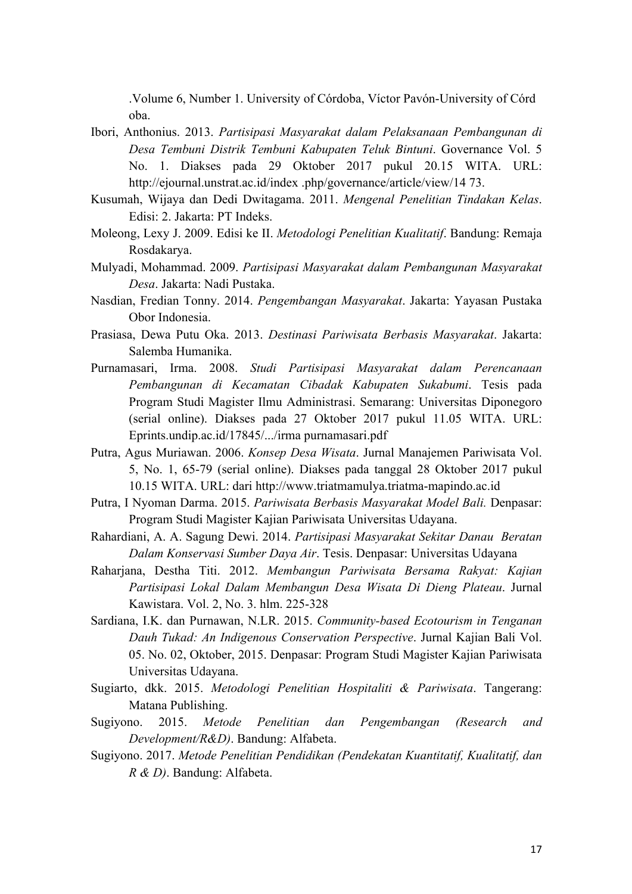.Volume 6, Number 1. University of Córdoba, Víctor Pavón-University of Córd oba.

- Ibori, Anthonius. 2013. *Partisipasi Masyarakat dalam Pelaksanaan Pembangunan di Desa Tembuni Distrik Tembuni Kabupaten Teluk Bintuni*. Governance Vol. 5 No. 1. Diakses pada 29 Oktober 2017 pukul 20.15 WITA. URL: http://ejournal.unstrat.ac.id/index .php/governance/article/view/14 73.
- Kusumah, Wijaya dan Dedi Dwitagama. 2011. *Mengenal Penelitian Tindakan Kelas*. Edisi: 2. Jakarta: PT Indeks.
- Moleong, Lexy J. 2009. Edisi ke II. *Metodologi Penelitian Kualitatif*. Bandung: Remaja Rosdakarya.
- Mulyadi, Mohammad. 2009. *Partisipasi Masyarakat dalam Pembangunan Masyarakat Desa*. Jakarta: Nadi Pustaka.
- Nasdian, Fredian Tonny. 2014. *Pengembangan Masyarakat*. Jakarta: Yayasan Pustaka Obor Indonesia.
- Prasiasa, Dewa Putu Oka. 2013. *Destinasi Pariwisata Berbasis Masyarakat*. Jakarta: Salemba Humanika.
- Purnamasari, Irma. 2008. *Studi Partisipasi Masyarakat dalam Perencanaan Pembangunan di Kecamatan Cibadak Kabupaten Sukabumi*. Tesis pada Program Studi Magister Ilmu Administrasi. Semarang: Universitas Diponegoro (serial online). Diakses pada 27 Oktober 2017 pukul 11.05 WITA. URL: Eprints.undip.ac.id/17845/.../irma purnamasari.pdf
- Putra, Agus Muriawan. 2006. *Konsep Desa Wisata*. Jurnal Manajemen Pariwisata Vol. 5, No. 1, 65-79 (serial online). Diakses pada tanggal 28 Oktober 2017 pukul 10.15 WITA. URL: dari http://www.triatmamulya.triatma-mapindo.ac.id
- Putra, I Nyoman Darma. 2015. *Pariwisata Berbasis Masyarakat Model Bali.* Denpasar: Program Studi Magister Kajian Pariwisata Universitas Udayana.
- Rahardiani, A. A. Sagung Dewi. 2014. *Partisipasi Masyarakat Sekitar Danau Beratan Dalam Konservasi Sumber Daya Air*. Tesis. Denpasar: Universitas Udayana
- Raharjana, Destha Titi. 2012. *Membangun Pariwisata Bersama Rakyat: Kajian Partisipasi Lokal Dalam Membangun Desa Wisata Di Dieng Plateau*. Jurnal Kawistara. Vol. 2, No. 3. hlm. 225-328
- Sardiana, I.K. dan Purnawan, N.LR. 2015. *Community-based Ecotourism in Tenganan Dauh Tukad: An Indigenous Conservation Perspective*. Jurnal Kajian Bali Vol. 05. No. 02, Oktober, 2015. Denpasar: Program Studi Magister Kajian Pariwisata Universitas Udayana.
- Sugiarto, dkk. 2015. *Metodologi Penelitian Hospitaliti & Pariwisata*. Tangerang: Matana Publishing.
- Sugiyono. 2015. *Metode Penelitian dan Pengembangan (Research and Development/R&D)*. Bandung: Alfabeta.
- Sugiyono. 2017. *Metode Penelitian Pendidikan (Pendekatan Kuantitatif, Kualitatif, dan R & D)*. Bandung: Alfabeta.